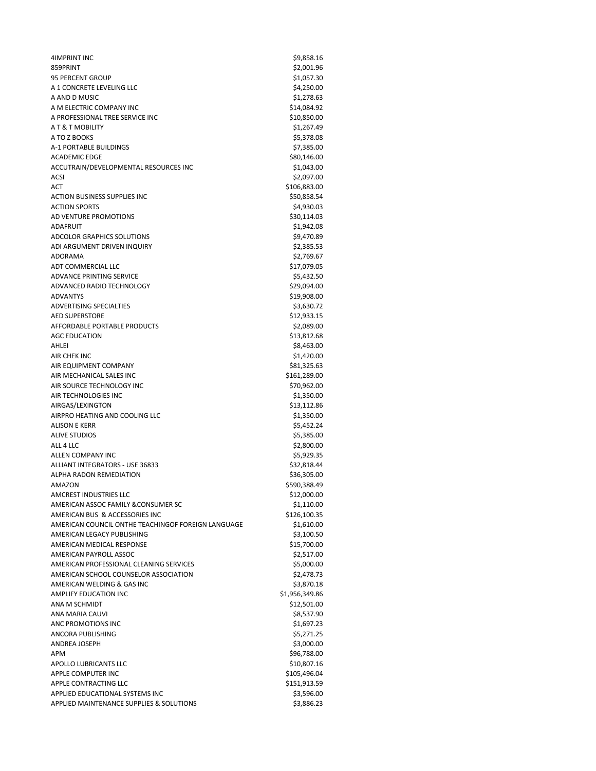| 4IMPRINT INC                                       | \$9,858.16     |
|----------------------------------------------------|----------------|
| 859PRINT                                           | \$2,001.96     |
| <b>95 PERCENT GROUP</b>                            | \$1,057.30     |
| A 1 CONCRETE LEVELING LLC                          | \$4,250.00     |
| A AND D MUSIC                                      | \$1,278.63     |
| A M ELECTRIC COMPANY INC                           | \$14,084.92    |
| A PROFESSIONAL TREE SERVICE INC                    | \$10,850.00    |
| AT&TMOBILITY                                       | \$1,267.49     |
| A TO Z BOOKS                                       | \$5,378.08     |
| A-1 PORTABLE BUILDINGS                             | \$7,385.00     |
| <b>ACADEMIC EDGE</b>                               | \$80,146.00    |
| ACCUTRAIN/DEVELOPMENTAL RESOURCES INC              | \$1,043.00     |
| ACSI                                               | \$2,097.00     |
| ACT                                                | \$106,883.00   |
| <b>ACTION BUSINESS SUPPLIES INC</b>                | \$50,858.54    |
| <b>ACTION SPORTS</b>                               | \$4,930.03     |
| AD VENTURE PROMOTIONS                              | \$30,114.03    |
|                                                    |                |
| <b>ADAFRUIT</b>                                    | \$1,942.08     |
| <b>ADCOLOR GRAPHICS SOLUTIONS</b>                  | \$9,470.89     |
| ADI ARGUMENT DRIVEN INQUIRY                        | \$2,385.53     |
| ADORAMA                                            | \$2,769.67     |
| ADT COMMERCIAL LLC                                 | \$17,079.05    |
| ADVANCE PRINTING SERVICE                           | \$5,432.50     |
| ADVANCED RADIO TECHNOLOGY                          | \$29,094.00    |
| <b>ADVANTYS</b>                                    | \$19,908.00    |
| <b>ADVERTISING SPECIALTIES</b>                     | \$3,630.72     |
| <b>AED SUPERSTORE</b>                              | \$12,933.15    |
| AFFORDABLE PORTABLE PRODUCTS                       | \$2,089.00     |
| <b>AGC EDUCATION</b>                               | \$13,812.68    |
| AHLEI                                              | \$8,463.00     |
| AIR CHEK INC                                       | \$1,420.00     |
| AIR EQUIPMENT COMPANY                              | \$81,325.63    |
| AIR MECHANICAL SALES INC                           | \$161,289.00   |
| AIR SOURCE TECHNOLOGY INC                          | \$70,962.00    |
| AIR TECHNOLOGIES INC                               | \$1,350.00     |
| AIRGAS/LEXINGTON                                   | \$13,112.86    |
| AIRPRO HEATING AND COOLING LLC                     | \$1,350.00     |
| ALISON E KERR                                      | \$5,452.24     |
| <b>ALIVE STUDIOS</b>                               | \$5,385.00     |
| ALL 4 LLC                                          | \$2,800.00     |
| ALLEN COMPANY INC                                  | \$5,929.35     |
| ALLIANT INTEGRATORS - USE 36833                    | \$32,818.44    |
| <b>ALPHA RADON REMEDIATION</b>                     | \$36,305.00    |
| AMAZON                                             | \$590,388.49   |
| AMCREST INDUSTRIES LLC                             | \$12,000.00    |
| AMERICAN ASSOC FAMILY & CONSUMER SC                | \$1,110.00     |
| AMERICAN BUS & ACCESSORIES INC                     | \$126,100.35   |
|                                                    |                |
| AMERICAN COUNCIL ONTHE TEACHINGOF FOREIGN LANGUAGE | \$1,610.00     |
| AMERICAN LEGACY PUBLISHING                         | \$3,100.50     |
| AMERICAN MEDICAL RESPONSE                          | \$15,700.00    |
| AMERICAN PAYROLL ASSOC                             | \$2,517.00     |
| AMERICAN PROFESSIONAL CLEANING SERVICES            | \$5,000.00     |
| AMERICAN SCHOOL COUNSELOR ASSOCIATION              | \$2,478.73     |
| AMERICAN WELDING & GAS INC                         | \$3,870.18     |
| <b>AMPLIFY EDUCATION INC</b>                       | \$1,956,349.86 |
| ANA M SCHMIDT                                      | \$12,501.00    |
| ANA MARIA CAUVI                                    | \$8,537.90     |
| ANC PROMOTIONS INC                                 | \$1,697.23     |
| ANCORA PUBLISHING                                  | \$5,271.25     |
| ANDREA JOSEPH                                      | \$3,000.00     |
| APM                                                | \$96,788.00    |
| APOLLO LUBRICANTS LLC                              | \$10,807.16    |
| APPLE COMPUTER INC                                 | \$105,496.04   |
| APPLE CONTRACTING LLC                              | \$151,913.59   |
| APPLIED EDUCATIONAL SYSTEMS INC                    | \$3,596.00     |
| APPLIED MAINTENANCE SUPPLIES & SOLUTIONS           | \$3,886.23     |
|                                                    |                |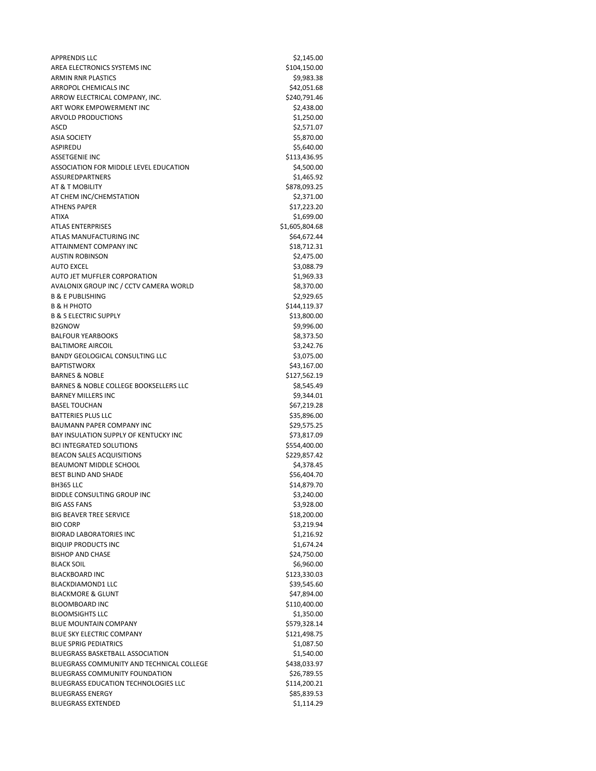APPRENDIS LLC \$2,145.00 AREA ELECTRONICS SYSTEMS INC \$104,150.00 ARMIN RNR PLASTICS **\$9,983.38** \$9,983.38 ARROPOL CHEMICALS INC<br>
542,051.68 ARROW ELECTRICAL COMPANY, INC. 63240,791.46 ART WORK EMPOWERMENT INC<br>
\$2,438.00 ARVOLD PRODUCTIONS \$1,250.00 ASCD \$2,571.07 ASIA SOCIETY SALES AND THE SOCIETY STATES OF THE SOCIETY STATES OF THE SOCIETY STATES OF THE SOCIETY OF THE SOCIETY OF THE SOCIETY OF THE SOCIETY OF THE SOCIETY OF THE SOCIETY OF THE SOCIETY OF THE SOCIETY OF THE SOCIETY O ASPIREDU \$5,640.00 ASSETGENIE INC \$113,436.95 ASSOCIATION FOR MIDDLE LEVEL EDUCATION **\$4,500.00** ASSUREDPARTNERS \$1,465.92 AT & T MOBILITY \$878,093.25 AT CHEM INC/CHEMSTATION \$2,371.00 ATHENS PAPER \$17,223.20 ATIXA \$1,699.00 ATLAS ENTERPRISES \$1,605,804.68 ATLAS MANUFACTURING INC<br>
\$64,672.44 ATTAINMENT COMPANY INC 618,712.31 AUSTIN ROBINSON \$2,475.00 AUTO EXCEL \$3,088.79 AUTO JET MUFFLER CORPORATION \$1,969.33 AVALONIX GROUP INC / CCTV CAMERA WORLD \$8,370.00 B & E PUBLISHING \$2,929.65 B & H PHOTO \$144,119.37 B & S ELECTRIC SUPPLY \$13,800.00 B2GNOW \$9,996.00 BALFOUR YEARBOOKS \$8,373.50 BALTIMORE AIRCOIL **\$3,242.76** BANDY GEOLOGICAL CONSULTING LLC \$3,075.00 BAPTISTWORX \$43,167.00 BARNES & NOBLE \$127,562.19 BARNES & NOBLE COLLEGE BOOKSELLERS LLC \$8,545.49 BARNEY MILLERS INC \$9,344.01 BASEL TOUCHAN \$67,219.28 BATTERIES PLUS LLC **AND SERVICES IN THE SERVICE SERVICES** S35,896.00 BAUMANN PAPER COMPANY INC \$29.575.25 BAY INSULATION SUPPLY OF KENTUCKY INC **Example 20 and 573,817.09** BCI INTEGRATED SOLUTIONS \$554,400.00 BEACON SALES ACQUISITIONS \$229,857.42 BEAUMONT MIDDLE SCHOOL \$4,378.45 BEST BLIND AND SHADE \$56,404.70 BH365 LLC \$14,879.70 BIDDLE CONSULTING GROUP INC \$3,240.00 BIG ASS FANS \$3,928.00 BIG BEAVER TREE SERVICE **\$18,200.00**  $BIO$  CORP  $$3,219.94$ BIORAD LABORATORIES INC<br>
\$1,216.92 BIQUIP PRODUCTS INC \$1,674.24 BISHOP AND CHASE \$24,750.00 BLACK SOIL \$6,960.00 BLACKBOARD INC \$123,330.03 BLACKDIAMOND1 LLC 639.545.60 BLACKMORE & GLUNT \$47,894.00 BLOOMBOARD INC \$110,400.00 BLOOMSIGHTS LLC \$1,350.00 BLUE MOUNTAIN COMPANY **\$579,328.14** BLUE SKY ELECTRIC COMPANY **\$121,498.75** BLUE SPRIG PEDIATRICS \$1,087.50 BLUEGRASS BASKETBALL ASSOCIATION \$1,540.00 BLUEGRASS COMMUNITY AND TECHNICAL COLLEGE \$438,033.97 BLUEGRASS COMMUNITY FOUNDATION \$26,789.55 BLUEGRASS EDUCATION TECHNOLOGIES LLC \$114,200.21 BLUEGRASS ENERGY **\$85,839.53** BLUEGRASS EXTENDED \$1,114.29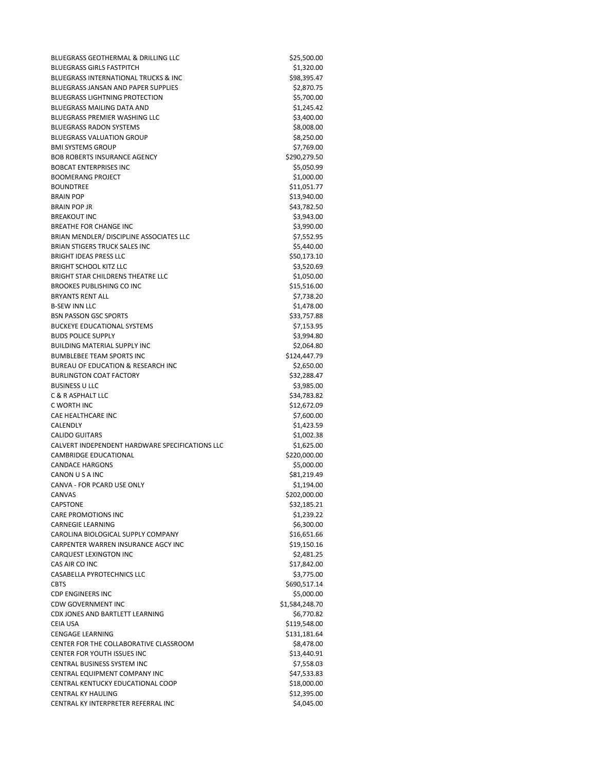BLUEGRASS GEOTHERMAL & DRILLING LLC **\$25,500.00** \$25,500.00 BLUEGRASS GIRLS FASTPITCH \$1,320.00 BLUEGRASS INTERNATIONAL TRUCKS & INC<br>
S98.395.47 BLUEGRASS JANSAN AND PAPER SUPPLIES \$2,870.75 BLUEGRASS LIGHTNING PROTECTION \$5,700.00 BLUEGRASS MAILING DATA AND \$1,245.42 BLUEGRASS PREMIER WASHING LLC \$3,400.00 BLUEGRASS RADON SYSTEMS \$8,008.00 \$8,008.00 BLUEGRASS VALUATION GROUP **\$8,250.00** \$8,250.00 BMI SYSTEMS GROUP \$7,769.00 BOB ROBERTS INSURANCE AGENCY \$290,279.50 BOBCAT ENTERPRISES INC<br>
\$5,050.99 BOOMERANG PROJECT \$1,000.00 BOUNDTREE \$11,051.77 BRAIN POP \$13,940.00 BRAIN POP JR \$43,782.50 BREAKOUT INC \$3,943.00 BREATHE FOR CHANGE INC<br>
\$3,990.00 BRIAN MENDLER/ DISCIPLINE ASSOCIATES LLC \$7,552.95 BRIAN STIGERS TRUCK SALES INC 65,440.00 BRIGHT IDEAS PRESS LLC \$50,173.10 BRIGHT SCHOOL KITZ LLC **\$3,520.69** \$3,520.69 BRIGHT STAR CHILDRENS THEATRE LLC \$1,050.00 BROOKES PUBLISHING CO INC \$15,516.00 BRYANTS RENT ALL \$7,738.20 B-SEW INN LLC<br>BSN PASSON GSC SPORTS FOR THE RESERVE OF THE STATE STATES SOLUTION SEEN SERVER SERVER STATES BSN PASSON GSC SPORTS BUCKEYE EDUCATIONAL SYSTEMS 67,153.95 BUDS POLICE SUPPLY \$3,994.80 BUILDING MATERIAL SUPPLY INC \$2,064.80 BUMBLEBEE TEAM SPORTS INC \$124,447.79 BUREAU OF EDUCATION & RESEARCH INC<br>\$2,650.00 BURLINGTON COAT FACTORY \$32,288.47 BUSINESS U LLC \$3,985.00 C & R ASPHALT LLC \$34,783.82 C WORTH INC \$12,672.09 CAE HEALTHCARE INC **ALCOHOL CAE HEALTHCARE INC 37,600.00**  $CALENDLY$   $$1,423.59$ CALIDO GUITARS \$1,002.38 CALVERT INDEPENDENT HARDWARE SPECIFICATIONS LLC \$1,625.00 CAMBRIDGE EDUCATIONAL **\$220,000.00** CANDACE HARGONS \$5,000.00 CANON U S A INC \$81,219.49 CANVA - FOR PCARD USE ONLY **\$1,194.00** CANVAS \$202,000.00 CAPSTONE \$32,185.21 CARE PROMOTIONS INC<br>
\$1,239.22 CARNEGIE LEARNING \$6,300.00 CAROLINA BIOLOGICAL SUPPLY COMPANY 616,651.66 CARPENTER WARREN INSURANCE AGCY INC<br>
\$19,150.16 CARQUEST LEXINGTON INC 62,481.25 CAS AIR CO INC \$17,842.00 CASABELLA PYROTECHNICS LLC \$3,775.00 CBTS \$690,517.14 CDP ENGINEERS INC \$5,000.00 CDW GOVERNMENT INC \$1,584,248.70 CDX JONES AND BARTLETT LEARNING \$6,770.82 CEIA USA \$119,548.00 CENGAGE LEARNING \$131,181.64 CENTER FOR THE COLLABORATIVE CLASSROOM \$8,478.00 CENTER FOR YOUTH ISSUES INC<br>
\$13,440.91 CENTRAL BUSINESS SYSTEM INC 67,558.03 CENTRAL EQUIPMENT COMPANY INC 647,533.83 CENTRAL KENTUCKY EDUCATIONAL COOP \$18,000.00 CENTRAL KY HAULING **\$12,395.00** \$12,395.00 CENTRAL KY INTERPRETER REFERRAL INC \$4,045.00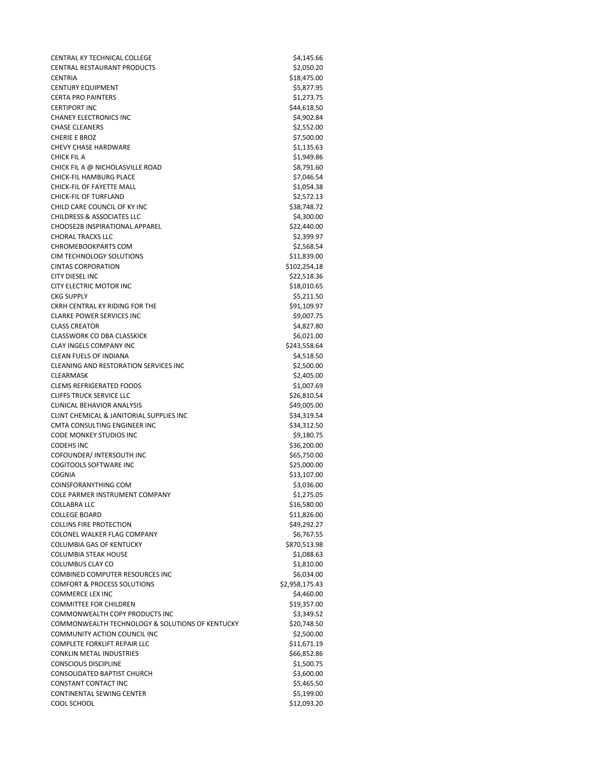CENTRAL KY TECHNICAL COLLEGE **\$4,145.66** \$4,145.66 CENTRAL RESTAURANT PRODUCTS \$2,050.20 CENTRIA \$18,475.00 CENTURY EQUIPMENT **\$5,877.95** CERTA PRO PAINTERS \$1,273.75 CERTIPORT INC \$44,618.50 CHANEY ELECTRONICS INC<br>
\$4,902.84 CHASE CLEANERS **\$2,552.00** CHERIE E BROZ \$7,500.00 CHEVY CHASE HARDWARE **\$1,135.63** \$1,135.63 CHICK FIL A \$1,949.86 CHICK FIL A @ NICHOLASVILLE ROAD \$8,791.60 CHICK-FIL HAMBURG PLACE \$7,046.54 CHICK-FIL OF FAYETTE MALL \$1,054.38 CHICK-FIL OF TURFLAND \$2,572.13 CHILD CARE COUNCIL OF KY INC<br>CHILDRESS & ASSOCIATES LLC 6 \$4.300.00 CHILDRESS & ASSOCIATES LLC CHOOSE2B INSPIRATIONAL APPAREL \$22,440.00 CHORAL TRACKS LLC \$2,399.97 CHROMEBOOKPARTS COM \$2,568.54 CIM TECHNOLOGY SOLUTIONS \$11,839.00 CINTAS CORPORATION \$102,254.18 CITY DIESEL INC **S22,518.36** CITY ELECTRIC MOTOR INC<br>
\$18,010.65 CKG SUPPLY \$5,211.50 CKRH CENTRAL KY RIDING FOR THE \$91,109.97 CLARKE POWER SERVICES INC<br>
\$9,007.75 CLASS CREATOR \$4,827.80 CLASSWORK CO DBA CLASSKICK \$6,021.00 CLAY INGELS COMPANY INC **\$243,558.64** \$243,558.64 CLEAN FUELS OF INDIANA  $\angle$  54,518.50 CLEANING AND RESTORATION SERVICES INC<br>
\$2,500.00 CLEARMASK \$2,405.00 CLEMS REFRIGERATED FOODS \$1,007.69 CLIFFS TRUCK SERVICE LLC \$26,810.54 CLINICAL BEHAVIOR ANALYSIS \$49,005.00 CLINT CHEMICAL & JANITORIAL SUPPLIES INC \$34,319.54 CMTA CONSULTING ENGINEER INC \$34,312.50 CODE MONKEY STUDIOS INC **\$9,180.75** CODEHS INC \$36,200.00 COFOUNDER/ INTERSOUTH INC \$65,750.00 COGITOOLS SOFTWARE INC 625,000.00 COGNIA \$13,107.00 COINSFORANYTHING COM \$3,036.00 COLE PARMER INSTRUMENT COMPANY **\$1,275.05** COLLABRA LLC \$16,580.00 COLLEGE BOARD \$11,826.00 COLLINS FIRE PROTECTION \$49,292.27 COLONEL WALKER FLAG COMPANY 66,767.55 COLUMBIA GAS OF KENTUCKY \$870,513.98 COLUMBIA STEAK HOUSE **\$1,088.63** \$1,088.63 COLUMBUS CLAY CO **\$1,810.00** \$1,810.00 COMBINED COMPUTER RESOURCES INC<br>
S6.034.00 COMFORT & PROCESS SOLUTIONS \$2,958,175.43 COMMERCE LEX INC \$4,460.00 COMMITTEE FOR CHILDREN \$19,357.00 COMMONWEALTH COPY PRODUCTS INC **\$3,349.52** COMMONWEALTH TECHNOLOGY & SOLUTIONS OF KENTUCKY \$20,748.50 COMMUNITY ACTION COUNCIL INC **\$2,500.00** \$2,500.00 COMPLETE FORKLIFT REPAIR LLC \$11,671.19 CONKLIN METAL INDUSTRIES \$66,852.86 CONSCIOUS DISCIPLINE \$1,500.75 CONSOLIDATED BAPTIST CHURCH \$3,600.00 CONSTANT CONTACT INC<br>
\$5,465.50 CONTINENTAL SEWING CENTER \$5,199.00 COOL SCHOOL \$12,093.20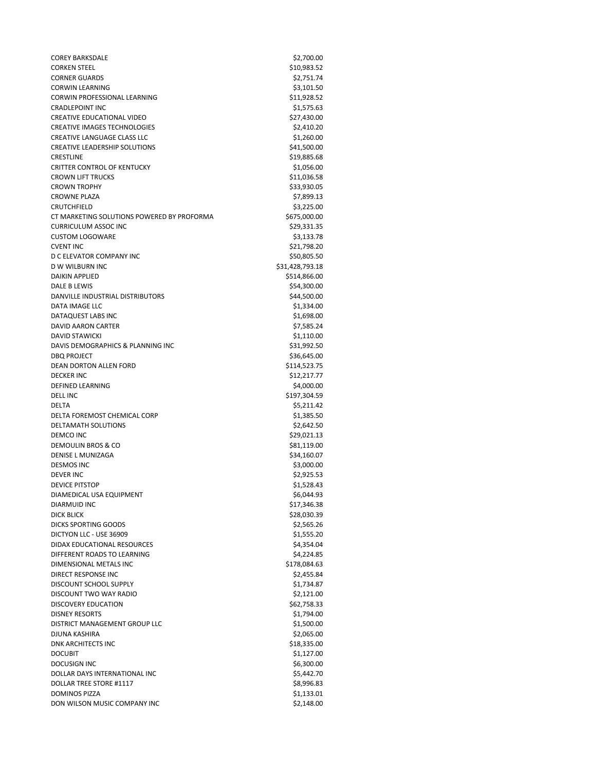COREY BARKSDALE \$2,700.00 CORKEN STEEL \$10,983.52 CORNER GUARDS \$2,751.74 CORWIN LEARNING \$3,101.50 CORWIN PROFESSIONAL LEARNING \$11,928.52 CRADLEPOINT INC \$1,575.63 CREATIVE EDUCATIONAL VIDEO 627,430.00 CREATIVE IMAGES TECHNOLOGIES **\$2,410.20** CREATIVE LANGUAGE CLASS LLC \$1,260.00 CREATIVE LEADERSHIP SOLUTIONS \$41,500.00 CRESTLINE \$19,885.68 CRITTER CONTROL OF KENTUCKY \$1,056.00 CROWN LIFT TRUCKS \$11,036.58 CROWN TROPHY \$33,930.05 CROWNE PLAZA \$7,899.13 CRUTCHFIELD \$3,225.00<br>CT MARKETING SOLUTIONS POWERED BY PROFORMA \$675.000.00 CT MARKETING SOLUTIONS POWERED BY PROFORMA CURRICULUM ASSOC INC 629,331.35 CUSTOM LOGOWARE \$3,133.78 CVENT INC \$21,798.20 D C ELEVATOR COMPANY INC \$50,805.50 D W WILBURN INC \$31,428,793.18 DAIKIN APPLIED \$514,866.00 DALE B LEWIS \$54,300.00 DANVILLE INDUSTRIAL DISTRIBUTORS \$44,500.00 DATA IMAGE LLC \$1,334.00 DATAQUEST LABS INC \$1,698.00 DAVID AARON CARTER \$7,585.24 DAVID STAWICKI \$1,110.00 DAVIS DEMOGRAPHICS & PLANNING INC \$31,992.50 DBQ PROJECT \$36,645.00 DEAN DORTON ALLEN FORD \$114,523.75 DECKER INC \$12,217.77 DEFINED LEARNING \$4,000.00 DELL INC \$197,304.59 DELTA \$5,211.42 DELTA FOREMOST CHEMICAL CORP \$1,385.50 DELTAMATH SOLUTIONS **\$2,642.50** DEMCO INC \$29,021.13 DEMOULIN BROS & CO \$81,119.00 DENISE L MUNIZAGA \$34,160.07 DESMOS INC \$3,000.00 DEVER INC \$2,925.53 DEVICE PITSTOP \$1,528.43 DIAMEDICAL USA EQUIPMENT **\$6,044.93** \$6,044.93 DIARMUID INC \$17,346.38 DICK BLICK \$28,030.39 DICKS SPORTING GOODS \$2,565.26 DICTYON LLC - USE 36909 \$1,555.20 DIDAX EDUCATIONAL RESOURCES \$4,354.04 DIFFERENT ROADS TO LEARNING \$4,224.85 DIMENSIONAL METALS INC **\$178,084.63** DIRECT RESPONSE INC **Analyzis Contract Contract Contract Contract Contract Contract Contract Contract Contract Contract Contract Contract Contract Contract Contract Contract Contract Contract Contract Contract Contract Con** DISCOUNT SCHOOL SUPPLY **\$1,734.87** DISCOUNT TWO WAY RADIO **\$2,121.00** DISCOVERY EDUCATION \$62,758.33 DISNEY RESORTS \$1,794.00 DISTRICT MANAGEMENT GROUP LLC \$1,500.00 DJUNA KASHIRA \$2,065.00 DNK ARCHITECTS INC \$18,335.00 DOCUBIT \$1,127.00 DOCUSIGN INC \$6,300.00 DOLLAR DAYS INTERNATIONAL INC<br>
\$5,442.70 DOLLAR TREE STORE #1117 \$8,996.83 DOMINOS PIZZA \$1,133.01 DON WILSON MUSIC COMPANY INC \$2,148.00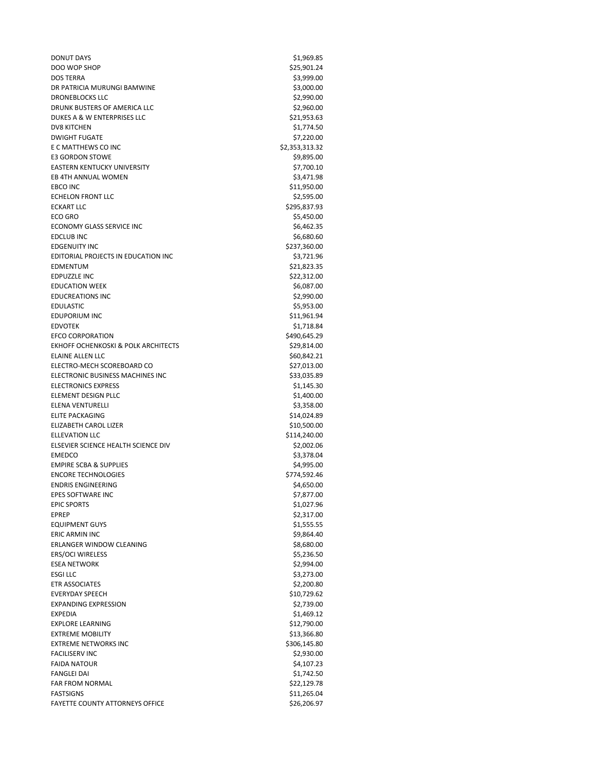DONUT DAYS \$1,969.85 DOO WOP SHOP \$25,901.24 DOS TERRA \$3,999.00 DR PATRICIA MURUNGI BAMWINE \$3,000.00 DRONEBLOCKS LLC \$2,990.00 DRUNK BUSTERS OF AMERICA LLC \$2,960.00 DUKES A & W ENTERPRISES LLC \$21,953.63 DV8 KITCHEN \$1,774.50 DWIGHT FUGATE \$7,220.00 E C MATTHEWS CO INC **1999 12:33-24 12:33-24 12:32-24 12:32-24 12:32-24 12:32-24 12:32-24 12:32** E3 GORDON STOWE \$9,895.00 EASTERN KENTUCKY UNIVERSITY 67,700.10 EB 4TH ANNUAL WOMEN \$3,471.98 EBCO INC \$11,950.00 ECHELON FRONT LLC \$2,595.00 ECKART LLC \$295,837.93  $ECO$  GRO  $\lesssim$   $5,450.00$ ECONOMY GLASS SERVICE INC<br>
\$6,462.35 EDCLUB INC \$6,680.60 EDGENUITY INC \$237,360.00 EDITORIAL PROJECTS IN EDUCATION INC<br>
\$3,721.96 EDMENTUM \$21,823.35 EDPUZZLE INC \$22,312.00 EDUCATION WEEK \$6,087.00 EDUCREATIONS INC \$2,990.00 EDULASTIC \$5,953.00 EDUPORIUM INC \$11,961.94 EDVOTEK \$1,718.84 EFCO CORPORATION \$490,645.29 EKHOFF OCHENKOSKI & POLK ARCHITECTS \$29,814.00 ELAINE ALLEN LLC \$60,842.21 ELECTRO-MECH SCOREBOARD CO \$27,013.00 ELECTRONIC BUSINESS MACHINES INC<br>
\$33,035.89 ELECTRONICS EXPRESS \$1,145.30 ELEMENT DESIGN PLLC \$1,400.00 ELENA VENTURELLI \$3,358.00 ELITE PACKAGING \$14,024.89 ELIZABETH CAROL LIZER \$10,500.00 ELLEVATION LLC \$114,240.00 ELSEVIER SCIENCE HEALTH SCIENCE DIV \$2,002.06 EMEDCO \$3,378.04 EMPIRE SCBA & SUPPLIES  $$4,995.00$ ENCORE TECHNOLOGIES \$774,592.46 ENDRIS ENGINEERING \$4,650.00 EPES SOFTWARE INC **EXECUTE 2006** S7,877.00 EPIC SPORTS \$1,027.96 EPREP \$2,317.00 EQUIPMENT GUYS \$1,555.55 ERIC ARMIN INC \$9,864.40 ERLANGER WINDOW CLEANING \$8,680.00 ERS/OCI WIRELESS \$5,236.50 ESEA NETWORK \$2,994.00  $ESGI$  LLC  $$3,273.00$ ETR ASSOCIATES \$2,200.80 EVERYDAY SPEECH \$10,729.62 EXPANDING EXPRESSION \$2,739.00 EXPEDIA \$1,469.12 EXPLORE LEARNING \$12,790.00 EXTREME MOBILITY **\$13,366.80** EXTREME NETWORKS INC<br>
\$306,145.80 FACILISERV INC \$2,930.00 FAIDA NATOUR \$4,107.23 FANGLEI DAI \$1,742.50 FAR FROM NORMAL \$22,129.78 FASTSIGNS \$11,265.04 FAYETTE COUNTY ATTORNEYS OFFICE **\$26,206.97**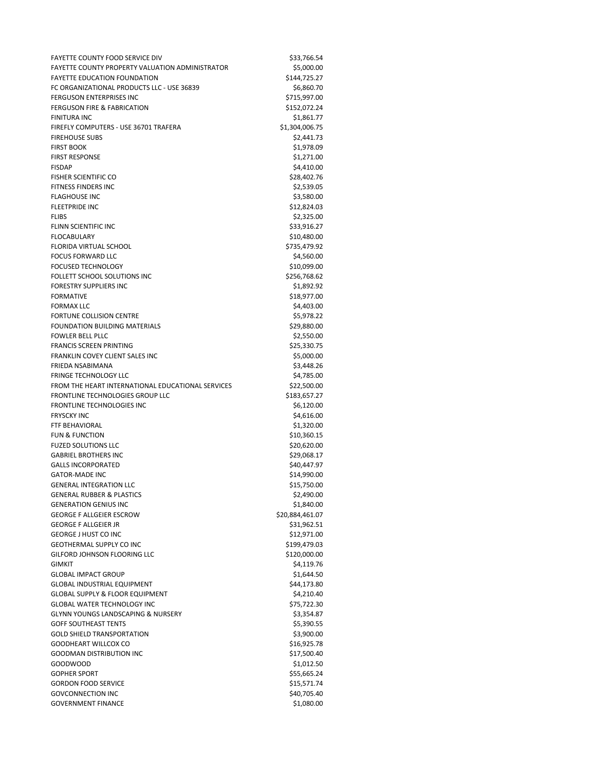FAYETTE COUNTY FOOD SERVICE DIV<br>FAYETTE COUNTY PROPERTY VALUATION ADMINISTRATOR \$5.000.00 FAYETTE COUNTY PROPERTY VALUATION ADMINISTRATOR FAYETTE EDUCATION FOUNDATION **\$144.725.27** FC ORGANIZATIONAL PRODUCTS LLC - USE 36839 \$6,860.70 FERGUSON ENTERPRISES INC<br>
\$715,997.00 FERGUSON FIRE & FABRICATION \$152,072.24 FINITURA INC \$1,861.77 FIREFLY COMPUTERS - USE 36701 TRAFERA \$1,304,006.75 FIREHOUSE SUBS \$2,441.73 FIRST BOOK \$1,978.09 FIRST RESPONSE \$1,271.00 FISDAP \$4,410.00 FISHER SCIENTIFIC CO \$28,402.76 FITNESS FINDERS INC **\$2,539.05** FLAGHOUSE INC \$3,580.00 FLEETPRIDE INC \$12,824.03  $FLIBS$   $\frac{1}{2}$ ,325.00 FLINN SCIENTIFIC INC<br>
\$33,916.27 FLOCABULARY \$10,480.00 FLORIDA VIRTUAL SCHOOL **\$735,479.92** FOCUS FORWARD LLC \$4,560.00 FOCUSED TECHNOLOGY \$10,099.00 FOLLETT SCHOOL SOLUTIONS INC \$256,768.62 FORESTRY SUPPLIERS INC **\$1,892.92** FORMATIVE \$18,977.00 FORMAX LLC \$4,403.00 FORTUNE COLLISION CENTRE **\$5,978.22** FOUNDATION BUILDING MATERIALS \$29,880.00 FOWLER BELL PLLC \$2,550.00 **FRANCIS SCREEN PRINTING \$25,330.75** FRANKLIN COVEY CLIENT SALES INC<br>
\$5,000.00 FRIEDA NSABIMANA  $$3,448.26$ FRINGE TECHNOLOGY LLC \$4,785.00 FROM THE HEART INTERNATIONAL EDUCATIONAL SERVICES \$22,500.00 FRONTLINE TECHNOLOGIES GROUP LLC<br>\$183,657.27 FRONTLINE TECHNOLOGIES INC<br>
\$6,120.00 FRYSCKY INC  $$4,616.00$ FTF BEHAVIORAL \$1,320.00 FUN & FUNCTION \$10,360.15 FUZED SOLUTIONS LLC \$20,620.00 GABRIEL BROTHERS INC<br>
\$29,068.17 GALLS INCORPORATED \$40,447.97 GATOR-MADE INC \$14,990.00 GENERAL INTEGRATION LLC \$15,750.00 GENERAL RUBBER & PLASTICS \$2,490.00 GENERATION GENIUS INC **1999 120 120 13 1340.00** GEORGE F ALLGEIER ESCROW \$20,884,461.07 GEORGE F ALLGEIER JR **\$31,962.51** GEORGE J HUST CO INC 60 A 200 A 200 A 312,971.00 GEOTHERMAL SUPPLY CO INC \$199,479.03 GILFORD JOHNSON FLOORING LLC \$120,000.00 GIMKIT \$4,119.76 GLOBAL IMPACT GROUP \$1,644.50 GLOBAL INDUSTRIAL EQUIPMENT \$44,173.80 GLOBAL SUPPLY & FLOOR EQUIPMENT \$4,210.40 GLOBAL WATER TECHNOLOGY INC<br>
\$75,722.30 GLYNN YOUNGS LANDSCAPING & NURSERY \$3,354.87 GOFF SOUTHEAST TENTS **\$5,390.55** GOLD SHIELD TRANSPORTATION 60 AND 100 100 25,900.00 GOODHEART WILLCOX CO **\$16,925.78** \$16,925.78 GOODMAN DISTRIBUTION INC \$17,500.40 GOODWOOD \$1,012.50 GOPHER SPORT \$55,665.24 GORDON FOOD SERVICE \$15,571.74 GOVCONNECTION INC 60 and 540,705.40 GOVERNMENT FINANCE \$1,080.00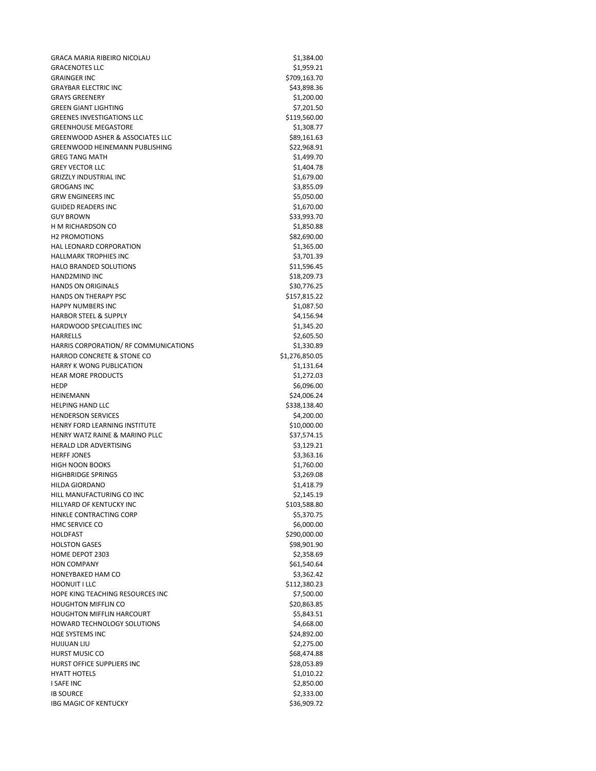GRACA MARIA RIBEIRO NICOLAU **\$1,384.00** \$1,384.00 GRACENOTES LLC \$1,959.21 GRAINGER INC \$709,163.70 GRAYBAR ELECTRIC INC **And All and All and All and All and All and All and All and All and All and All and All and A** GRAYS GREENERY \$1,200.00 GREEN GIANT LIGHTING \$7,201.50 GREENES INVESTIGATIONS LLC \$119,560.00 GREENHOUSE MEGASTORE **\$1,308.77** GREENWOOD ASHER & ASSOCIATES LLC \$89,161.63 GREENWOOD HEINEMANN PUBLISHING **\$22,968.91** \$22,968.91 GREG TANG MATH  $$1,499.70$ GREY VECTOR LLC \$1,404.78 GRIZZLY INDUSTRIAL INC 67.679.00 GROGANS INC \$3,855.09 GRW ENGINEERS INC \$5,050.00 GUIDED READERS INC \$1,670.00 GUY BROWN \$33,993.70 H M RICHARDSON CO \$1,850.88 H2 PROMOTIONS \$82,690.00 HAL LEONARD CORPORATION \$1,365.00 HALLMARK TROPHIES INC 63,701.39 HALO BRANDED SOLUTIONS \$11,596.45 HAND2MIND INC \$18,209.73 HANDS ON ORIGINALS **\$30,776.25** HANDS ON THERAPY PSC \$157,815.22 HAPPY NUMBERS INC \$1,087.50 HARBOR STEEL & SUPPLY **\$4,156.94** HARDWOOD SPECIALITIES INC<br>
\$1,345.20 HARRELLS \$2,605.50 HARRIS CORPORATION/ RF COMMUNICATIONS **\$1,330.89** HARROD CONCRETE & STONE CO \$1,276,850.05 HARRY K WONG PUBLICATION \$1,131.64 HEAR MORE PRODUCTS \$1,272.03 HEDP \$6,096.00 HEINEMANN \$24,006.24 HELPING HAND LLC \$338,138.40 HENDERSON SERVICES **\$4,200.00** \$4,200.00 HENRY FORD LEARNING INSTITUTE **\$10,000.00** HENRY WATZ RAINE & MARINO PLLC \$37,574.15 HERALD LDR ADVERTISING \$3,129.21 HERFF JONES \$3,363.16 HIGH NOON BOOKS \$1,760.00 HIGHBRIDGE SPRINGS \$3,269.08 HILDA GIORDANO \$1,418.79 HILL MANUFACTURING CO INC \$2,145.19 HILLYARD OF KENTUCKY INC \$103,588.80 HINKLE CONTRACTING CORP \$5,370.75 HMC SERVICE CO \$6,000.00 HOLDFAST \$290,000.00 HOLSTON GASES \$98,901.90 HOME DEPOT 2303 \$2,358.69 HON COMPANY HONEYBAKED HAM CO \$3,362.42 HOONUIT I LLC \$112,380.23 HOPE KING TEACHING RESOURCES INC<br>
\$7,500.00 HOUGHTON MIFFLIN CO **\$20,863.85** HOUGHTON MIFFLIN HARCOURT \$5,843.51 HOWARD TECHNOLOGY SOLUTIONS \$4,668.00 HQE SYSTEMS INC \$24,892.00 HUIJUAN LIU \$2,275.00 HURST MUSIC CO \$68,474.88 HURST OFFICE SUPPLIERS INC<br>
\$28,053.89 HYATT HOTELS \$1,010.22 I SAFE INC \$2,850.00 IB SOURCE  $$2,333.00$ IBG MAGIC OF KENTUCKY **\$36,909.72**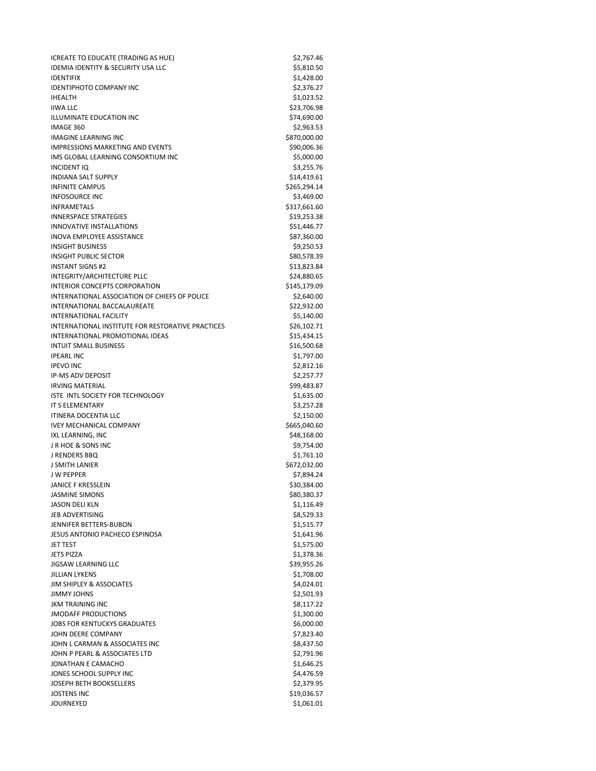ICREATE TO EDUCATE (TRADING AS HUE) \$2,767.46 IDEMIA IDENTITY & SECURITY USA LLC \$5,810.50 IDENTIFIX \$1,428.00 IDENTIPHOTO COMPANY INC 62,376.27 IHEALTH \$1,023.52  $I/WA LLC$  \$23,706.98 ILLUMINATE EDUCATION INC 674,690.00 IMAGE 360 \$2,963.53 IMAGINE LEARNING INC 6870,000.00 IMPRESSIONS MARKETING AND EVENTS **\$90,006.36** IMS GLOBAL LEARNING CONSORTIUM INC 65,000.00 INCIDENT IQ \$3,255.76 INDIANA SALT SUPPLY \$14,419.61 INFINITE CAMPUS \$265,294.14 INFOSOURCE INC \$3,469.00 INFRAMETALS \$317,661.60 INNERSPACE STRATEGIES \$19,253.38 INNOVATIVE INSTALLATIONS **\$51,446.77** INOVA EMPLOYEE ASSISTANCE **\$87,360.00** INSIGHT BUSINESS \$9,250.53 INSIGHT PUBLIC SECTOR \$80,578.39 INSTANT SIGNS #2  $$13,823.84$ INTEGRITY/ARCHITECTURE PLLC \$24,880.65 INTERIOR CONCEPTS CORPORATION 6145,179.09 INTERNATIONAL ASSOCIATION OF CHIEFS OF POLICE \$2,640.00 INTERNATIONAL BACCALAUREATE \$22,932.00 INTERNATIONAL FACILITY **\$5,140.00** INTERNATIONAL INSTITUTE FOR RESTORATIVE PRACTICES \$26,102.71 INTERNATIONAL PROMOTIONAL IDEAS \$15,434.15 INTUIT SMALL BUSINESS \$16,500.68  $\textsf{IPEARL INC}$   $\textsf{S1,797.00}$ IPEVO INC $$2,812.16$ IP-MS ADV DEPOSIT \$2,257.77 IRVING MATERIAL \$99,483.87 ISTE INTL SOCIETY FOR TECHNOLOGY \$1,635.00 IT S ELEMENTARY \$3,257.28 ITINERA DOCENTIA LLC \$2,150.00 IVEY MECHANICAL COMPANY **1992** 10 20 20 20:00 \$665,040.60 IXL LEARNING, INC 648,168.00 J R HOE & SONS INC \$9,754.00 J RENDERS BBQ \$1,761.10 J SMITH LANIER \$672,032.00 J W PEPPER \$7,894.24 JANICE F KRESSLEIN \$30,384.00 JASMINE SIMONS \$80,380.37 JASON DELI KLN \$1,116.49 JEB ADVERTISING \$8,529.33 JENNIFER BETTERS-BUBON \$1,515.77 JESUS ANTONIO PACHECO ESPINOSA \$1,641.96 JET TEST \$1,575.00 JETS PIZZA \$1,378.36 JIGSAW LEARNING LLC **\$39,955.26** JILLIAN LYKENS \$1,708.00 JIM SHIPLEY & ASSOCIATES \$4,024.01 JIMMY JOHNS \$2,501.93 JKM TRAINING INC \$8,117.22 JMODAFF PRODUCTIONS **\$1,300.00** \$1,300.00 JOBS FOR KENTUCKYS GRADUATES \$6,000.00 JOHN DEERE COMPANY **\$7,823.40** JOHN L CARMAN & ASSOCIATES INC 68,437.50 JOHN P PEARL & ASSOCIATES LTD \$2,791.96 JONATHAN E CAMACHO **\$1,646.25** JONES SCHOOL SUPPLY INC \$4,476.59 JOSEPH BETH BOOKSELLERS \$2,379.95 **JOSTENS INC** 519,036.57 JOURNEYED \$1,061.01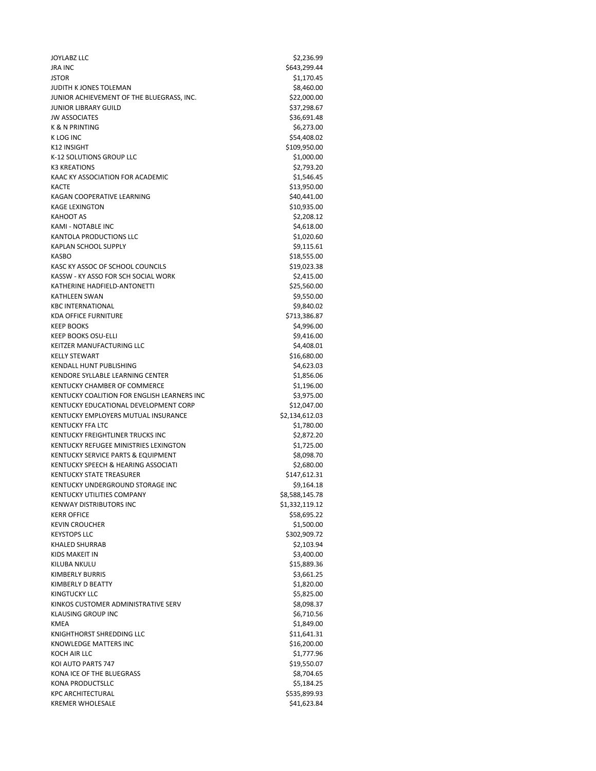$J$ OYLABZ LLC  $$2,236.99$ JRA INC \$643,299.44  $JSTOR$   $$1,170.45$ JUDITH K JONES TOLEMAN \$8,460.00 JUNIOR ACHIEVEMENT OF THE BLUEGRASS, INC.  $$22,000.00$ JUNIOR LIBRARY GUILD \$37,298.67 JW ASSOCIATES \$36,691.48 K & N PRINTING  $$6,273.00$ K LOG INC \$54,408.02 K12 INSIGHT \$109,950.00 K-12 SOLUTIONS GROUP LLC \$1,000.00 K3 KREATIONS \$2,793.20 KAAC KY ASSOCIATION FOR ACADEMIC 6 6 1,546.45 KACTE \$13,950.00 KAGAN COOPERATIVE LEARNING \$40,441.00 KAGE LEXINGTON \$10,935.00 KAHOOT AS  $$2,208.12$ KAMI - NOTABLE INC \$4,618.00 KANTOLA PRODUCTIONS LLC \$1,020.60 KAPLAN SCHOOL SUPPLY \$9,115.61 KASBO \$18,555.00 KASC KY ASSOC OF SCHOOL COUNCILS \$19,023.38 KASSW - KY ASSO FOR SCH SOCIAL WORK \$2,415.00 KATHERINE HADFIELD-ANTONETTI \$25,560.00 KATHLEEN SWAN \$9,550.00 KBC INTERNATIONAL \$9,840.02 KDA OFFICE FURNITURE \$713,386.87 KEEP BOOKS \$4,996.00 KEEP BOOKS OSU-ELLI \$9,416.00 KEITZER MANUFACTURING LLC **Annual State of the SA,408.01** \$4,408.01 KELLY STEWART \$16,680.00 KENDALL HUNT PUBLISHING **\$4,623.03** KENDORE SYLLABLE LEARNING CENTER \$1,856.06 KENTUCKY CHAMBER OF COMMERCE \$1,196.00 KENTUCKY COALITION FOR ENGLISH LEARNERS INC<br>\$3,975.00 KENTUCKY EDUCATIONAL DEVELOPMENT CORP \$12,047.00 KENTUCKY EMPLOYERS MUTUAL INSURANCE **\$2,134,612.03** KENTUCKY FFA LTC \$1,780.00 KENTUCKY FREIGHTLINER TRUCKS INC<br>
\$2,872.20 KENTUCKY REFUGEE MINISTRIES LEXINGTON \$1,725.00 KENTUCKY SERVICE PARTS & EQUIPMENT **\$8,098.70** KENTUCKY SPEECH & HEARING ASSOCIATI 62,680.00 KENTUCKY STATE TREASURER \$147,612.31 KENTUCKY UNDERGROUND STORAGE INC **\$9,164.18** KENTUCKY UTILITIES COMPANY 68,588,145.78 KENWAY DISTRIBUTORS INC 61,332,119.12 KERR OFFICE \$58,695.22 KEVIN CROUCHER \$1,500.00 KEYSTOPS LLC \$302,909.72 KHALED SHURRAB \$2,103.94 KIDS MAKEIT IN \$3,400.00 KILUBA NKULU \$15,889.36 KIMBERLY BURRIS \$3,661.25 KIMBERLY D BEATTY \$1,820.00 KINGTUCKY LLC \$5,825.00 KINKOS CUSTOMER ADMINISTRATIVE SERV \$8,098.37 KLAUSING GROUP INC **the contract of the contract of the contract of the contract of the contract of the contract of the contract of the contract of the contract of the contract of the contract of the contract of the contra** KMEA \$1,849.00 KNIGHTHORST SHREDDING LLC \$11,641.31 KNOWLEDGE MATTERS INC<br>
\$16,200.00 KOCH AIR LLC \$1,777.96 KOI AUTO PARTS 747 \$19,550.07 KONA ICE OF THE BLUEGRASS \$8,704.65 KONA PRODUCTSLLC \$5,184.25 KPC ARCHITECTURAL \$535,899.93 KREMER WHOLESALE \$41,623.84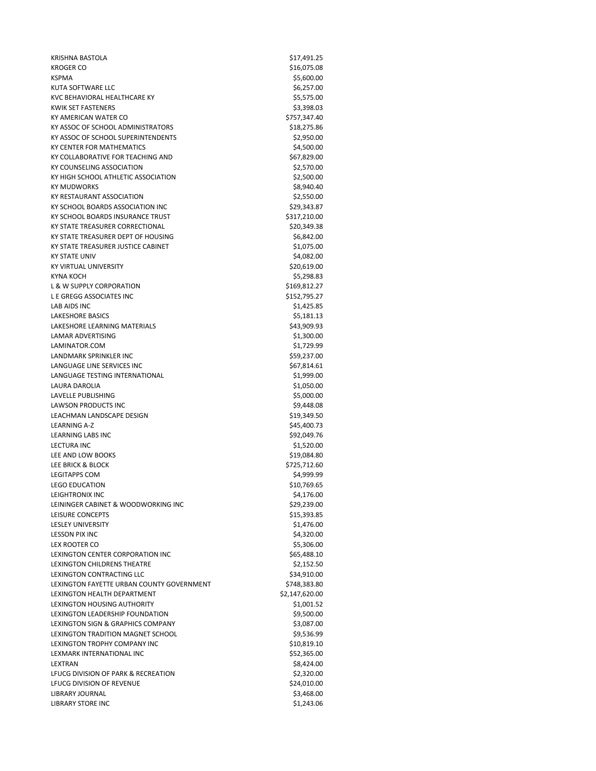KRISHNA BASTOLA \$17,491.25 KROGER CO \$16.075.08 KSPMA \$5,600.00 KUTA SOFTWARE LLC **Annual Solution Community Community** S6,257.00 KVC BEHAVIORAL HEALTHCARE KY \$5,575.00 KWIK SET FASTENERS \$3,398.03 KY AMERICAN WATER CO **\$757,347.40** KY ASSOC OF SCHOOL ADMINISTRATORS \$18,275.86 KY ASSOC OF SCHOOL SUPERINTENDENTS 62,950.00 KY CENTER FOR MATHEMATICS **\$4,500.00** \$4,500.00 KY COLLABORATIVE FOR TEACHING AND \$67,829.00 KY COUNSELING ASSOCIATION \$2,570.00 KY HIGH SCHOOL ATHLETIC ASSOCIATION 62,500.00 KY MUDWORKS \$8,940.40 KY RESTAURANT ASSOCIATION \$2,550.00 KY SCHOOL BOARDS ASSOCIATION INC<br>
\$29,343.87 KY SCHOOL BOARDS INSURANCE TRUST **\$317,210.00** KY STATE TREASURER CORRECTIONAL \$20,349.38 KY STATE TREASURER DEPT OF HOUSING **\$6,842.00** KY STATE TREASURER JUSTICE CABINET **\$1,075.00** KY STATE UNIV \$4,082.00 KY VIRTUAL UNIVERSITY **\$20,619.00** KYNA KOCH \$5,298.83 L & W SUPPLY CORPORATION \$169,812.27 L E GREGG ASSOCIATES INC \$152,795.27 LAB AIDS INC \$1,425.85 LAKESHORE BASICS \$5,181.13 LAKESHORE LEARNING MATERIALS \$43,909.93 LAMAR ADVERTISING \$1,300.00 LAMINATOR.COM \$1,729.99 LANDMARK SPRINKLER INC **Example 2008** 237.00 LANGUAGE LINE SERVICES INC<br>
\$67,814.61 LANGUAGE TESTING INTERNATIONAL **\$1,999.00** LAURA DAROLIA 61,050.00 LAVELLE PUBLISHING \$5,000.00 LAWSON PRODUCTS INC<br>
\$9,448.08 LEACHMAN LANDSCAPE DESIGN \$19,349.50 LEARNING A-Z \$45,400.73 LEARNING LABS INC \$92,049.76 LECTURA INC \$1,520.00 LEE AND LOW BOOKS \$19,084.80 LEE BRICK & BLOCK \$725,712.60 LEGITAPPS COM \$4,999.99 LEGO EDUCATION \$10,769.65 LEIGHTRONIX INC \$4,176.00 LEININGER CABINET & WOODWORKING INC<br>
\$29,239.00 LEISURE CONCEPTS \$15,393.85 LESLEY UNIVERSITY \$1,476.00 LESSON PIX INC \$4,320.00 LEX ROOTER CO \$5,306.00 LEXINGTON CENTER CORPORATION INC 665,488.10 LEXINGTON CHILDRENS THEATRE \$2,152.50 LEXINGTON CONTRACTING LLC \$34,910.00 LEXINGTON FAYETTE URBAN COUNTY GOVERNMENT \$748,383.80 LEXINGTON HEALTH DEPARTMENT \$2,147,620.00 LEXINGTON HOUSING AUTHORITY \$1,001.52 LEXINGTON LEADERSHIP FOUNDATION 69,500.00 LEXINGTON SIGN & GRAPHICS COMPANY \$3,087.00 LEXINGTON TRADITION MAGNET SCHOOL \$9,536.99 LEXINGTON TROPHY COMPANY INC \$10,819.10 LEXMARK INTERNATIONAL INC<br>
\$52,365.00 LEXTRAN \$8,424.00 LFUCG DIVISION OF PARK & RECREATION 62,320.00 LFUCG DIVISION OF REVENUE **\$24,010.00** LIBRARY JOURNAL **1999** S3,468.00 LIBRARY STORE INC \$1,243.06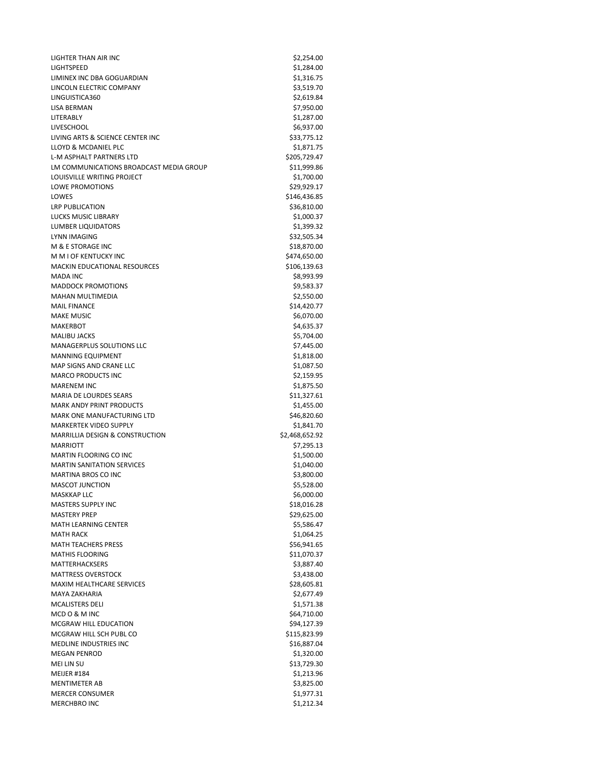LIGHTER THAN AIR INC **\$2,254.00** LIGHTSPEED \$1,284.00 LIMINEX INC DBA GOGUARDIAN \$1,316.75 LINCOLN ELECTRIC COMPANY \$3,519.70 LINGUISTICA360 \$2,619.84 LISA BERMAN \$7,950.00 LITERABLY \$1,287.00 LIVESCHOOL \$6,937.00 LIVING ARTS & SCIENCE CENTER INC 633,775.12 LLOYD & MCDANIEL PLC **\$1,871.75** \$1,871.75 L-M ASPHALT PARTNERS LTD \$205,729.47 LM COMMUNICATIONS BROADCAST MEDIA GROUP \$11,999.86 LOUISVILLE WRITING PROJECT SALES AND THE SET ON A \$1,700.00 LOWE PROMOTIONS \$29,929.17 LOWES \$146,436.85 LRP PUBLICATION \$36,810.00 LUCKS MUSIC LIBRARY \$1,000.37 LUMBER LIQUIDATORS \$1,399.32 LYNN IMAGING \$32,505.34 M & E STORAGE INC \$18,870.00 M M I OF KENTUCKY INC 6474,650.00 MACKIN EDUCATIONAL RESOURCES \$106,139.63 MADA INC  $$8,993.99$ MADDOCK PROMOTIONS **\$9,583.37** MAHAN MULTIMEDIA 62,550.00 MAIL FINANCE \$14,420.77 MAKE MUSIC \$6,070.00 MAKERBOT \$4,635.37 MALIBU JACKS \$5,704.00 MANAGERPLUS SOLUTIONS LLC \$7,445.00 MANNING EQUIPMENT SALES AND THE SERVICE OF SALES AND A SALES AND STARTING SALES AND SALES AND SALES AND STARTING SALES AND SALES AND SALES AND SALES AND SALES AND SALES AND SALES AND SALES AND SALES AND SALES AND SALES AND MAP SIGNS AND CRANE LLC \$1,087.50 MARCO PRODUCTS INC 62,159.95 MARENEM INC \$1,875.50 MARIA DE LOURDES SEARS \$11,327.61 MARK ANDY PRINT PRODUCTS \$1,455.00 MARK ONE MANUFACTURING LTD \$46,820.60 MARKERTEK VIDEO SUPPLY **\$1,841.70** \$1,841.70 MARRILLIA DESIGN & CONSTRUCTION \$2,468,652.92 MARRIOTT \$7,295.13 MARTIN FLOORING CO INC 61,500.00 MARTIN SANITATION SERVICES \$1,040.00 MARTINA BROS CO INC 63,800.00 MASCOT JUNCTION \$5,528.00 MASKKAP LLC \$6,000.00 MASTERS SUPPLY INC<br>
\$18,016.28 MASTERY PREP \$29,625.00 MATH LEARNING CENTER \$5,586.47 MATH RACK \$1,064.25 MATH TEACHERS PRESS **\$56,941.65** MATHIS FLOORING \$11,070.37 MATTERHACKSERS \$3,887.40 MATTRESS OVERSTOCK \$3,438.00 MAXIM HEALTHCARE SERVICES \$28,605.81 MAYA ZAKHARIA  $$2,677.49$ MCALISTERS DELI \$1,571.38 MCD O & M INC \$64,710.00 MCGRAW HILL EDUCATION \$94,127.39 MCGRAW HILL SCH PUBL CO \$115,823.99 MEDLINE INDUSTRIES INC. MEGAN PENROD \$1,320.00<br>MEI LIN SU \$1,320.000 \$1,320.000 \$1,320.000 \$1,320.000 \$1,320.000 \$1,320.000 \$1,3729.30 MEIJER #184 \$1,213.96 MENTIMETER AB \$3,825.00 MERCER CONSUMER \$1,977.31 MERCHBRO INC \$1,212.34

\$13,729.30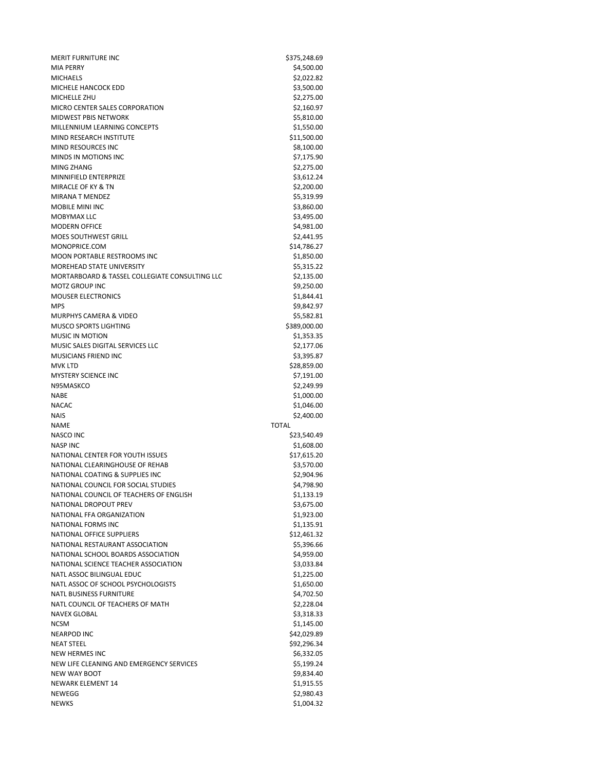MERIT FURNITURE INC<br>
\$375,248.69 MIA PERRY \$4,500.00 MICHAELS \$2,022.82 MICHELE HANCOCK EDD \$3,500.00 MICHELLE ZHU \$2,275.00 MICRO CENTER SALES CORPORATION \$2,160.97 MIDWEST PBIS NETWORK \$5,810.00 MILLENNIUM LEARNING CONCEPTS \$1,550.00 MIND RESEARCH INSTITUTE \$11,500.00 MIND RESOURCES INC **\$8,100.00** \$8,100.00 MINDS IN MOTIONS INC \$7,175.90 MING ZHANG  $$2,275.00$ MINNIFIELD ENTERPRIZE **\$3,612.24** MIRACLE OF KY & TN \$2,200.00 MIRANA T MENDEZ \$5,319.99 MOBILE MINI INC \$3,860.00 MOBYMAX LLC \$3,495.00 MODERN OFFICE \$4,981.00 MOES SOUTHWEST GRILL **And CONTROLL SECTION** \$2,441.95 MONOPRICE.COM \$14,786.27 MOON PORTABLE RESTROOMS INC<br>
\$1,850.00 MOREHEAD STATE UNIVERSITY **\$5,315.22** MORTARBOARD & TASSEL COLLEGIATE CONSULTING LLC \$2,135.00 MOTZ GROUP INC **And Account 2006 CONTACT CONTACT ACCOUNT** AND ACCOUNT ACCOUNT ACCOUNT ACCOUNT ACCOUNT ACCOUNT ACCOUNT ACCOUNT ACCOUNT ACCOUNT ACCOUNT ACCOUNT ACCOUNT ACCOUNT ACCOUNT ACCOUNT ACCOUNT ACCOUNT ACCOUNT ACCOUNT MOUSER ELECTRONICS \$1,844.41 MPS \$9,842.97 MURPHYS CAMERA & VIDEO \$5,582.81 MUSCO SPORTS LIGHTING \$389,000.00 MUSIC IN MOTION \$1,353.35 MUSIC SALES DIGITAL SERVICES LLC \$2,177.06 MUSICIANS FRIEND INC<br>
53.395.87 MVK LTD \$28,859.00 MYSTERY SCIENCE INC<br>
\$7,191.00 N95MASKCO \$2,249.99 NABE  $$1,000.00$ NACAC \$1,046.00 NAIS \$2,400.00 NAME TOTAL NASCO INC \$23,540.49 NASP INC \$1,608.00 NATIONAL CENTER FOR YOUTH ISSUES 617,615.20 NATIONAL CLEARINGHOUSE OF REHAB \$3,570.00 NATIONAL COATING & SUPPLIES INC \$2,904.96 NATIONAL COUNCIL FOR SOCIAL STUDIES \$4,798.90 NATIONAL COUNCIL OF TEACHERS OF ENGLISH **\$1,133.19** NATIONAL DROPOUT PREV \$3,675.00 NATIONAL FFA ORGANIZATION \$1,923.00 NATIONAL FORMS INC \$1,135.91 NATIONAL OFFICE SUPPLIERS \$12,461.32 NATIONAL RESTAURANT ASSOCIATION \$5,396.66 NATIONAL SCHOOL BOARDS ASSOCIATION \$4,959.00 NATIONAL SCIENCE TEACHER ASSOCIATION \$3,033.84 NATLASSOC BILINGUAL EDUC NATL ASSOC OF SCHOOL PSYCHOLOGISTS \$1,650.00 NATL BUSINESS FURNITURE \$4,702.50 NATL COUNCIL OF TEACHERS OF MATH \$2,228.04 NAVEX GLOBAL \$3,318.33 NCSM \$1,145.00 NEARPOD INC \$42,029.89 NEAT STEEL \$92,296.34 NEW HERMES INC \$6,332.05 NEW LIFE CLEANING AND EMERGENCY SERVICES \$5,199.24 NEW WAY BOOT \$9,834.40 NEWARK ELEMENT 14 \$1,915.55 NEWEGG \$2,980.43 NEWKS \$1,004.32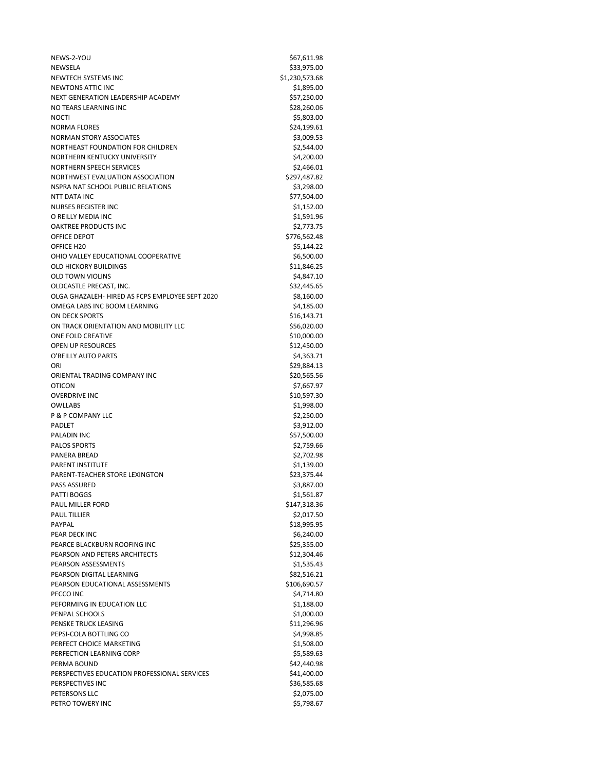NEWS-2-YOU \$67,611.98 NEWSELA \$33,975.00 NEWTECH SYSTEMS INC **S1,230,573.68** NEWTONS ATTIC INC **the state of the state of the state of the state of the state of the state of the state of the state of the state of the state of the state of the state of the state of the state of the state of the stat** NEXT GENERATION LEADERSHIP ACADEMY **\$57,250.00** NO TEARS LEARNING INC **\$28,260.06** NOCTI \$5,803.00 NORMA FLORES \$24,199.61 NORMAN STORY ASSOCIATES **\$3,009.53** NORTHEAST FOUNDATION FOR CHILDREN **\$2,544.00** \$2,544.00 NORTHERN KENTUCKY UNIVERSITY SA, 200.00 NORTHERN SPEECH SERVICES \$2,466.01 NORTHWEST EVALUATION ASSOCIATION \$297,487.82 NSPRA NAT SCHOOL PUBLIC RELATIONS \$3,298.00 NTT DATA INC \$77,504.00 NURSES REGISTER INC \$1,152.00 O REILLY MEDIA INC 61,591.96 OAKTREE PRODUCTS INC<br>
\$2,773.75 OFFICE DEPOT \$776,562.48 OFFICE H20 \$5,144.22 OHIO VALLEY EDUCATIONAL COOPERATIVE **\$6,500.00** \$6,500.00 OLD HICKORY BUILDINGS \$11,846.25 OLD TOWN VIOLINS SALES AND TOWN VIOLINS OLDCASTLE PRECAST, INC. 632,445.65 OLGA GHAZALEH- HIRED AS FCPS EMPLOYEE SEPT 2020 \$8,160.00 OMEGA LABS INC BOOM LEARNING \$4,185.00 ON DECK SPORTS \$16,143.71 ON TRACK ORIENTATION AND MOBILITY LLC \$56,020.00 ONE FOLD CREATIVE \$10,000.00 OPEN UP RESOURCES \$12,450.00 O'REILLY AUTO PARTS \$4,363.71 ORI \$29,884.13 ORIENTAL TRADING COMPANY INC \$20,565.56 OTICON \$7,667.97 OVERDRIVE INC \$10,597.30 OWLLABS \$1,998.00 P & P COMPANY LLC  $\overline{S2.250.00}$ PADLET \$3,912.00 PALADIN INC \$57,500.00 PALOS SPORTS \$2,759.66 PANERA BREAD \$2,702.98 PARENT INSTITUTE \$1,139.00 PARENT-TEACHER STORE LEXINGTON \$23,375.44 PASS ASSURED \$3,887.00 PATTI BOGGS \$1,561.87 PAUL MILLER FORD \$147,318.36 PAUL TILLIER \$2,017.50 PAYPAL \$18,995.95 PEAR DECK INC \$6,240.00 PEARCE BLACKBURN ROOFING INC<br>
\$25,355.00 PEARSON AND PETERS ARCHITECTS \$12,304.46 PEARSON ASSESSMENTS<br>
PEARSON DIGITAL LEARNING<br>
\$82,516.21 PEARSON DIGITAL LEARNING PEARSON EDUCATIONAL ASSESSMENTS \$106,690.57 PECCO INC \$4,714.80 PEFORMING IN EDUCATION LLC \$1,188.00 PENPAL SCHOOLS \$1,000.00 PENSKE TRUCK LEASING **\$11,296.96** \$11,296.96 PEPSI-COLA BOTTLING CO **\$4,998.85** PERFECT CHOICE MARKETING \$1,508.00 PERFECTION LEARNING CORP \$5,589.63 PERMA BOUND \$42,440.98 PERSPECTIVES EDUCATION PROFESSIONAL SERVICES 641,400.00 PERSPECTIVES INC \$36,585.68 PETERSONS LLC \$2,075.00 PETRO TOWERY INC **A SECURE 2006 TOWER 120 ASSAULT 2006** \$5,798.67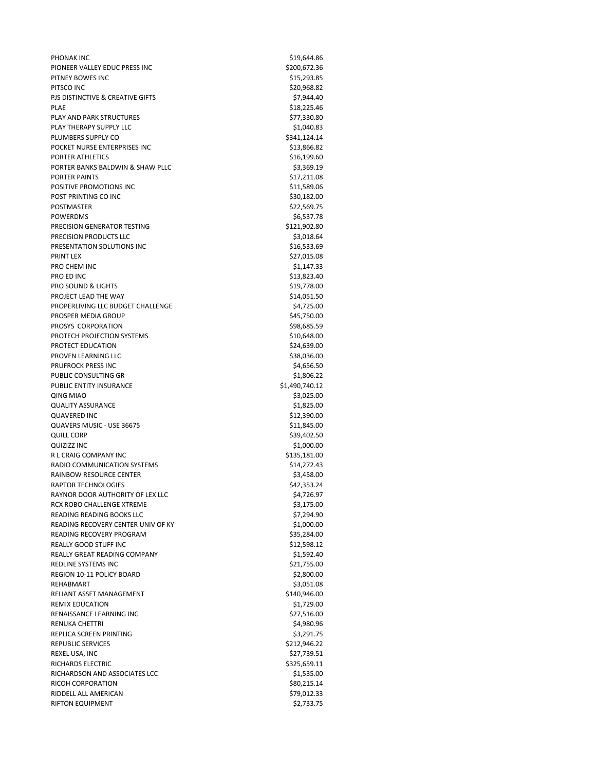PHONAK INC \$19,644.86 PIONEER VALLEY EDUC PRESS INC \$200,672.36 PITNEY BOWES INC 615,293.85 PITSCO INC \$20,968.82 PJS DISTINCTIVE & CREATIVE GIFTS \$7,944.40 PLAE \$18,225.46 PLAY AND PARK STRUCTURES \$77.330.80 PLAY THERAPY SUPPLY LLC **Analyzis and Struck and Struck and Struck and Struck and Struck and Struck and Struck and Struck and Struck and Struck and Struck and Struck and Struck and Struck and Struck and Struck and Struck a** PLUMBERS SUPPLY CO \$341,124.14 POCKET NURSE ENTERPRISES INC<br>  $\frac{513.866.82}{2}$ PORTER ATHLETICS \$16,199.60 PORTER BANKS BALDWIN & SHAW PLLC \$3,369.19 PORTER PAINTS \$17,211.08 POSITIVE PROMOTIONS INC<br>
\$11,589.06 POST PRINTING CO INC \$30,182.00 POSTMASTER \$22,569.75 POWERDMS \$6.537.78 PRECISION GENERATOR TESTING \$121,902.80 PRECISION PRODUCTS LLC \$3,018.64 PRESENTATION SOLUTIONS INC<br>
\$16,533.69 PRINT LEX \$27,015.08 PRO CHEM INC \$1,147.33 PRO ED INC \$13,823.40 PRO SOUND & LIGHTS **\$19,778.00** PROJECT LEAD THE WAY \$14,051.50 PROPERLIVING LLC BUDGET CHALLENGE \$4,725.00 PROSPER MEDIA GROUP \$45,750.00 PROSYS CORPORATION \$98,685.59 PROTECH PROJECTION SYSTEMS \$10,648.00 PROTECT EDUCATION **\$24,639.00** PROVEN LEARNING LLC 638,036.00 PRUFROCK PRESS INC<br>
\$4,656.50 PUBLIC CONSULTING GR<br>\$1,806.22 PUBLIC ENTITY INSURANCE \$1,490,740.12 QING MIAO \$3,025.00 QUALITY ASSURANCE \$1,825.00 QUAVERED INC \$12,390.00 QUAVERS MUSIC - USE 36675 \$11,845.00 QUILL CORP \$39,402.50 QUIZIZZ INC \$1,000.00 R L CRAIG COMPANY INC \$135,181.00 RADIO COMMUNICATION SYSTEMS 614,272.43 RAINBOW RESOURCE CENTER \$3,458.00 RAPTOR TECHNOLOGIES \$42,353.24 RAYNOR DOOR AUTHORITY OF LEX LLC \$4,726.97 RCX ROBO CHALLENGE XTREME \$3,175.00 READING READING BOOKS LLC \$7,294.90 READING RECOVERY CENTER UNIV OF KY **\$1,000.00** READING RECOVERY PROGRAM \$35,284.00 REALLY GOOD STUFF INC \$12,598.12 REALLY GREAT READING COMPANY **\$1,592.40** \$1,592.40 REDLINE SYSTEMS INC<br>
\$21,755.00 REGION 10-11 POLICY BOARD \$2,800.00 REHABMART \$3,051.08 RELIANT ASSET MANAGEMENT **\$140,946.00** REMIX EDUCATION \$1,729.00 RENAISSANCE LEARNING INC<br>
S27,516.00 RENUKA CHETTRI \$4,980.96 REPLICA SCREEN PRINTING \$3,291.75 REPUBLIC SERVICES \$212,946.22 REXEL USA, INC \$27,739.51 RICHARDS ELECTRIC \$325,659.11 RICHARDSON AND ASSOCIATES LCC \$1,535.00 RICOH CORPORATION \$80,215.14 RIDDELL ALL AMERICAN \$79,012.33 RIFTON EQUIPMENT \$2,733.75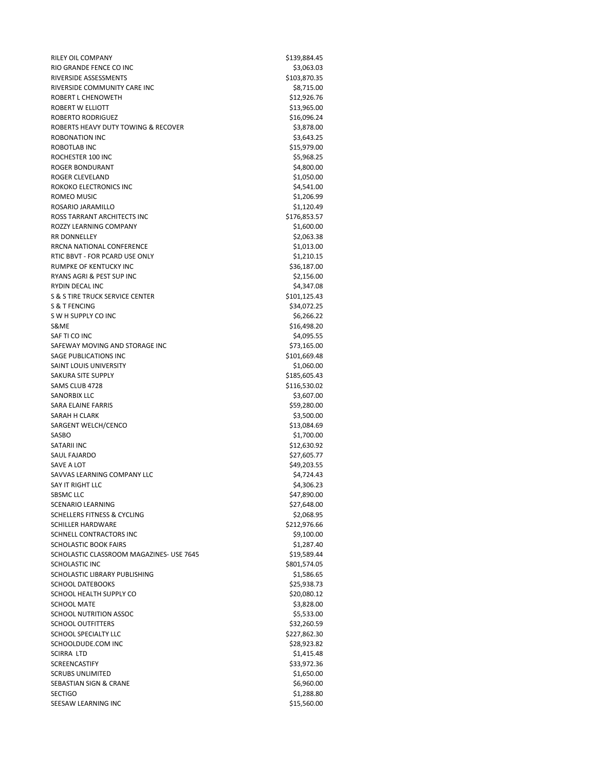RILEY OIL COMPANY \$139,884.45<br>RIO GRANDE FENCE CO INC \$139,884.05 RIO GRANDE FENCE CO INC. RIVERSIDE ASSESSMENTS **\$103,870.35** RIVERSIDE COMMUNITY CARE INC **\$8,715.00** \$8,715.00 ROBERT L CHENOWETH \$12,926.76 ROBERT W ELLIOTT **\$13,965.00** ROBERTO RODRIGUEZ \$16,096.24 ROBERTS HEAVY DUTY TOWING & RECOVER \$3,878.00 ROBONATION INC \$3,643.25 ROBOTLAB INC 615,979.00 ROCHESTER 100 INC \$5,968.25 ROGER BONDURANT \$4,800.00 ROGER CLEVELAND \$1,050.00 ROKOKO ELECTRONICS INC<br>
\$4,541.00 ROMEO MUSIC SALES AND THE SERVICE SERVICE SERVICE SERVICE SERVICE SERVICE SERVICE SERVICE SERVICE SERVICE SERVICE SERVICE SERVICE SERVICE SERVICE SERVICE SERVICE SERVICE SERVICE SERVICE SERVICE SERVICE SERVICE SERVICE SERV ROSARIO JARAMILLO \$1,120.49 ROSS TARRANT ARCHITECTS INC<br>\$176,853.57 ROZZY LEARNING COMPANY 61,600.00 RR DONNELLEY \$2,063.38 RRCNA NATIONAL CONFERENCE \$1,013.00 RTIC BBVT - FOR PCARD USE ONLY \$1,210.15 RUMPKE OF KENTUCKY INC<br>
\$36,187.00 RYANS AGRI & PEST SUP INC \$2,156.00 RYDIN DECAL INC \$4,347.08 S & S TIRE TRUCK SERVICE CENTER \$101,125.43 S & T FENCING \$34,072.25 S W H SUPPLY CO INC \$6,266.22 S&ME \$16,498.20 SAF TI CO INC \$4,095.55 SAFEWAY MOVING AND STORAGE INC \$73,165.00 SAGE PUBLICATIONS INC **SAGE PUBLICATIONS** INC SAINT LOUIS UNIVERSITY \$1,060.00 SAKURA SITE SUPPLY \$185,605.43 SAMS CLUB 4728 \$116,530.02 SANORBIX LLC \$3,607.00 SARA ELAINE FARRIS \$59,280.00 SARAH H CLARK \$3.500.00 SARGENT WELCH/CENCO \$13,084.69 SASBO \$1,700.00 SATARII INC \$12,630.92 SAUL FAJARDO \$27,605.77 SAVE A LOT \$49,203.55 SAVVAS LEARNING COMPANY LLC \$4,724.43 SAY IT RIGHT LLC \$4,306.23 SBSMC LLC \$47,890.00 SCENARIO LEARNING **\$27,648.00** SCHELLERS FITNESS & CYCLING \$2,068.95 SCHILLER HARDWARE \$212,976.66 SCHNELL CONTRACTORS INC<br>
\$9,100.00 SCHOLASTIC BOOK FAIRS \$1,287.40 SCHOLASTIC CLASSROOM MAGAZINES- USE 7645 \$19,589.44 SCHOLASTIC INC 6801,574.05 SCHOLASTIC LIBRARY PUBLISHING \$1,586.65 SCHOOL DATEBOOKS \$25,938.73 SCHOOL HEALTH SUPPLY CO \$20,080.12 SCHOOL MATE \$3,828.00 SCHOOL NUTRITION ASSOC **\$5,533.00** \$5,533.00 SCHOOL OUTFITTERS \$32,260.59 SCHOOL SPECIALTY LLC **\$227,862.30** \$227,862.30 SCHOOLDUDE.COM INC \$28,923.82 SCIRRA LTD \$1,415.48 SCREENCASTIFY \$33,972.36 SCRUBS UNLIMITED \$1,650.00 SEBASTIAN SIGN & CRANE \$6,960.00 SECTIGO \$1,288.80 SEESAW LEARNING INC 615,560.00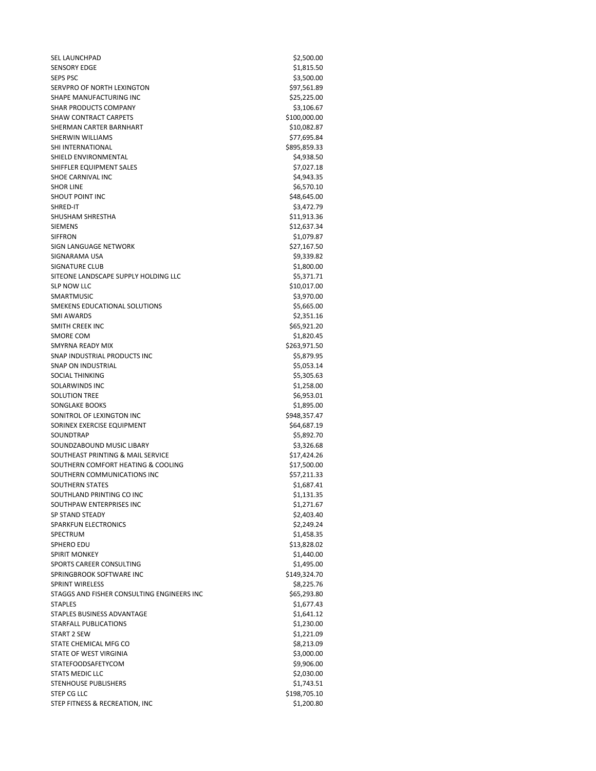SEL LAUNCHPAD \$2,500.00 SENSORY EDGE \$1,815.50  $SEPS PSC$   $\frac{1}{2}$   $\frac{1}{2}$   $\frac{1}{2}$   $\frac{1}{2}$   $\frac{1}{2}$   $\frac{1}{2}$   $\frac{1}{2}$   $\frac{1}{2}$   $\frac{1}{2}$   $\frac{1}{2}$   $\frac{1}{2}$   $\frac{1}{2}$   $\frac{1}{2}$   $\frac{1}{2}$   $\frac{1}{2}$   $\frac{1}{2}$   $\frac{1}{2}$   $\frac{1}{2}$   $\frac{1}{2}$   $\frac{1}{2}$   $\frac{1}{2}$   $\frac{$ SERVPRO OF NORTH LEXINGTON 697,561.89 SHAPE MANUFACTURING INC 625,225.00 SHAR PRODUCTS COMPANY \$3,106.67 SHAW CONTRACT CARPETS \$100,000.00 SHERMAN CARTER BARNHART \$10,082.87 SHERWIN WILLIAMS **\$77,695.84** SHI INTERNATIONAL **\$895,859.33** \$895,859.33 SHIELD ENVIRONMENTAL **\$4,938.50** SHIFFLER EQUIPMENT SALES \$7,027.18 SHOE CARNIVAL INC \$4,943.35 SHOR LINE \$6,570.10 SHOUT POINT INC \$48,645.00 SHRED-IT \$3,472.79 SHUSHAM SHRESTHA  $$11,913.36$ SIEMENS \$12,637.34 SIFFRON \$1,079.87 SIGN LANGUAGE NETWORK \$27,167.50 SIGNARAMA USA \$9,339.82 SIGNATURE CLUB \$1,800.00 SITEONE LANDSCAPE SUPPLY HOLDING LLC \$5,371.71 SLP NOW LLC \$10,017.00 SMARTMUSIC \$3,970.00 SMEKENS EDUCATIONAL SOLUTIONS \$5,665.00 SMI AWARDS \$2,351.16 SMITH CREEK INC \$65,921.20 SMORE COM \$1,820.45 SMYRNA READY MIX  $$263,971.50$ SNAP INDUSTRIAL PRODUCTS INC 65,879.95 SNAP ON INDUSTRIAL \$5,053.14 SOCIAL THINKING \$5,305.63 SOLARWINDS INC \$1,258.00 SOLUTION TREE \$6,953.01 SONGLAKE BOOKS \$1,895.00 SONITROL OF LEXINGTON INC **\$948,357.47** SORINEX EXERCISE EQUIPMENT \$64,687.19 SOUNDTRAP \$5,892.70 SOUNDZABOUND MUSIC LIBARY \$3,326.68 SOUTHEAST PRINTING & MAIL SERVICE \$17,424.26 SOUTHERN COMFORT HEATING & COOLING **\$17,500.00** SOUTHERN COMMUNICATIONS INC<br>
\$57,211.33 SOUTHERN STATES \$1,687.41 SOUTHLAND PRINTING CO INC 61,131.35 SOUTHPAW ENTERPRISES INC<br>
\$1,271.67 SP STAND STEADY \$2,403.40 SPARKFUN ELECTRONICS **\$2,249.24** SPECTRUM \$1,458.35 SPHERO EDU \$13,828.02 SPIRIT MONKEY \$1,440.00 SPORTS CAREER CONSULTING \$1,495.00 SPRINGBROOK SOFTWARE INC \$149,324.70 SPRINT WIRELESS \$8,225.76 STAGGS AND FISHER CONSULTING ENGINEERS INC<br>\$65,293.80 STAPLES \$1,677.43 STAPLES BUSINESS ADVANTAGE \$1,641.12 STARFALL PUBLICATIONS **\$1,230.00** \$1,230.00 START 2 SEW \$1,221.09 STATE CHEMICAL MFG CO \$8,213.09 STATE OF WEST VIRGINIA 63,000.00 STATEFOODSAFETYCOM \$9,906.00 STATS MEDIC LLC \$2,030.00 STENHOUSE PUBLISHERS \$1,743.51 STEP CG LLC \$198,705.10 STEP FITNESS & RECREATION, INC \$1,200.80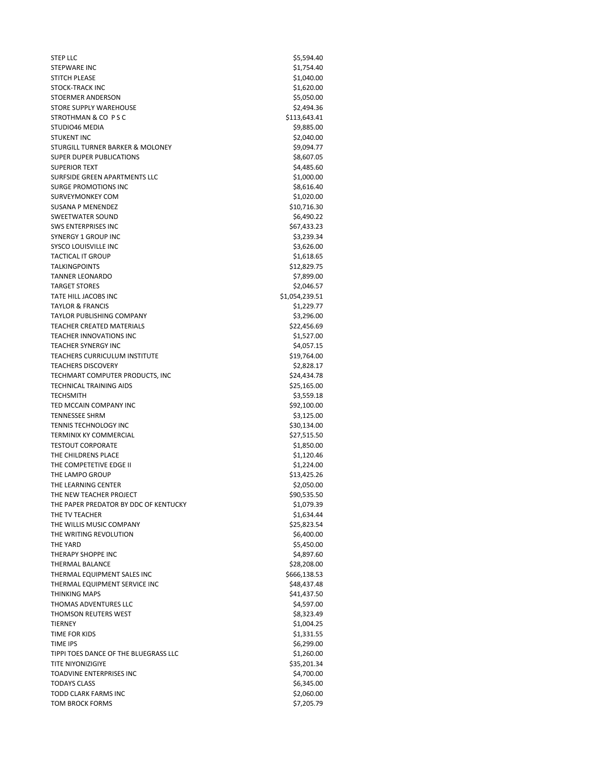$S$ 5,594.40 STEPWARE INC. SALES AND STEPWARE INC. STITCH PLEASE \$1,040.00 STOCK-TRACK INC \$1,620.00 STOERMER ANDERSON \$5,050.00 STORE SUPPLY WAREHOUSE **\$2,494.36** STROTHMAN & CO P S C \$113,643.41 STUDIO46 MEDIA \$9,885.00 STUKENT INC \$2,040.00 STURGILL TURNER BARKER & MOLONEY **\$9,094.77** SUPER DUPER PUBLICATIONS \$8,607.05 SUPERIOR TEXT \$4,485.60 SURFSIDE GREEN APARTMENTS LLC \$1,000.00 SURGE PROMOTIONS INC \$8,616.40 SURVEYMONKEY COM \$1,020.00 SUSANA P MENENDEZ \$10,716.30 SWEETWATER SOUND \$6,490.22 SWS ENTERPRISES INC<br>
\$67,433.23 SYNERGY 1 GROUP INC \$3,239.34 SYSCO LOUISVILLE INC \$3,626.00 TACTICAL IT GROUP \$1,618.65 TALKINGPOINTS \$12,829.75 TANNER LEONARDO \$7,899.00 TARGET STORES \$2,046.57 TATE HILL JACOBS INC \$1,054,239.51 TAYLOR & FRANCIS \$1,229.77 TAYLOR PUBLISHING COMPANY \$3,296.00 TEACHER CREATED MATERIALS \$22,456.69 TEACHER INNOVATIONS INC<br>
\$1,527.00 TEACHER SYNERGY INC **\$4,057.15** TEACHERS CURRICULUM INSTITUTE \$19,764.00 TEACHERS DISCOVERY \$2,828.17 TECHMART COMPUTER PRODUCTS, INC<br>
\$24,434.78 TECHNICAL TRAINING AIDS \$25,165.00 TECHSMITH \$3,559.18 TED MCCAIN COMPANY INC \$92,100.00 TENNESSEE SHRM \$3,125.00 TENNIS TECHNOLOGY INC<br>
\$30,134.00 TERMINIX KY COMMERCIAL **\$27,515.50** TESTOUT CORPORATE \$1,850.00 THE CHILDRENS PLACE \$1,120.46 THE COMPETETIVE EDGE II  $$1,224.00$ THE LAMPO GROUP \$13,425.26 THE LEARNING CENTER **\$2,050.00** \$2,050.00 THE NEW TEACHER PROJECT **\$90,535.50** THE PAPER PREDATOR BY DDC OF KENTUCKY \$1,079.39 THE TV TEACHER \$1,634.44 THE WILLIS MUSIC COMPANY **\$25,823.54** THE WRITING REVOLUTION \$6,400.00 THE YARD \$5,450.00 THERAPY SHOPPE INC **And Account 2006 120 AM SHOPPE INC 54,897.60** THERMAL BALANCE \$28,208.00 THERMAL EQUIPMENT SALES INC<br>\$666,138.53 THERMAL EQUIPMENT SERVICE INC **\$48,437.48** THINKING MAPS \$41,437.50 THOMAS ADVENTURES LLC \$4,597.00 THOMSON REUTERS WEST **\$8,323.49** \$8,323.49 TIERNEY \$1,004.25 TIME FOR KIDS \$1,331.55 TIME IPS \$6,299.00 TIPPI TOES DANCE OF THE BLUEGRASS LLC \$1,260.00 TITE NIYONIZIGIYE **\$35,201.34** TOADVINE ENTERPRISES INC<br>
\$4,700.00 TODAYS CLASS \$6,345.00 TODD CLARK FARMS INC **\$2,060.00** \$2,060.00 TOM BROCK FORMS \$7,205.79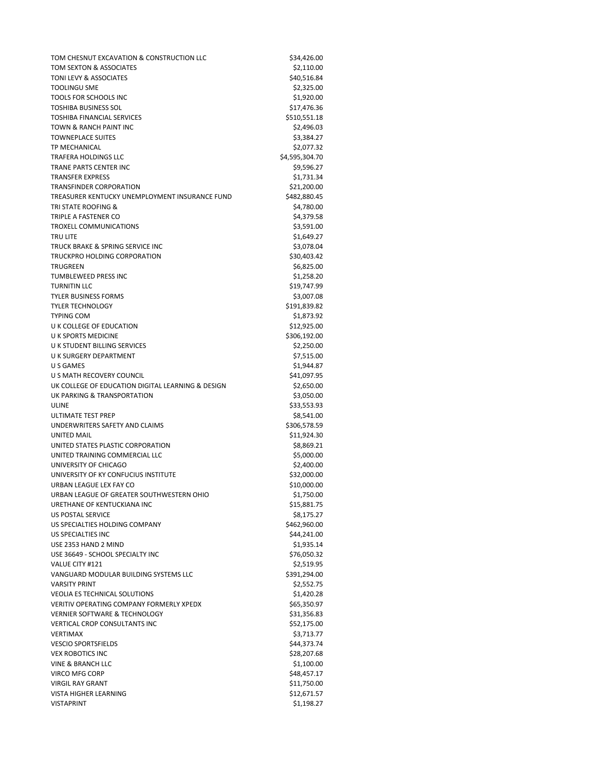TOM CHESNUT EXCAVATION & CONSTRUCTION LLC \$34,426.00 TOM SEXTON & ASSOCIATES \$2,110.00 TONI LEVY & ASSOCIATES **\$40,516.84** TOOLINGU SME \$2,325.00 TOOLS FOR SCHOOLS INC<br>
\$1,920.00 TOSHIBA BUSINESS SOL \$17,476.36 TOSHIBA FINANCIAL SERVICES \$510,551.18 TOWN & RANCH PAINT INC **\$2,496.03** TOWNEPLACE SUITES \$3,384.27 TP MECHANICAL **\$2,077.32** TRAFERA HOLDINGS LLC 6 64,595,304.70 TRANE PARTS CENTER INC<br>
\$9,596.27 TRANSFER EXPRESS \$1,731.34 TRANSFINDER CORPORATION \$21,200.00 TREASURER KENTUCKY UNEMPLOYMENT INSURANCE FUND \$482,880.45 TRI STATE ROOFING & \$4,780.00 TRIPLE A FASTENER CO **\$4,379.58** \$4,379.58 TROXELL COMMUNICATIONS \$3,591.00 TRU LITE \$1,649.27 TRUCK BRAKE & SPRING SERVICE INC<br>\$3,078.04 TRUCKPRO HOLDING CORPORATION \$30,403.42 TRUGREEN \$6,825.00 TUMBLEWEED PRESS INC \$1,258.20 TURNITIN LLC \$19,747.99 TYLER BUSINESS FORMS \$3,007.08 TYLER TECHNOLOGY \$191,839.82 TYPING COM \$1,873.92 U K COLLEGE OF EDUCATION \$12,925.00 U K SPORTS MEDICINE \$306,192.00 U K STUDENT BILLING SERVICES \$2,250.00 U K SURGERY DEPARTMENT **\$7,515.00** \$7,515.00 U S GAMES \$1,944.87 U S MATH RECOVERY COUNCIL \$41,097.95 UK COLLEGE OF EDUCATION DIGITAL LEARNING & DESIGN \$2,650.00 UK PARKING & TRANSPORTATION \$3,050.00 ULINE \$33,553.93 ULTIMATE TEST PREP \$8,541.00 UNDERWRITERS SAFETY AND CLAIMS \$306.578.59 UNITED MAIL SERVICES AND SERVICES AND STRUCK AND STRUCK AND STRUCK AND STRUCK AND STRUCK AND STRUCK AND STRUCK UNITED STATES PLASTIC CORPORATION \$8,869.21 UNITED TRAINING COMMERCIAL LLC \$5,000.00 UNIVERSITY OF CHICAGO \$2,400.00 UNIVERSITY OF KY CONFUCIUS INSTITUTE S32,000.00 URBAN LEAGUE LEX FAY CO **\$10,000.00** \$10,000.00 URBAN LEAGUE OF GREATER SOUTHWESTERN OHIO \$1,750.00 URETHANE OF KENTUCKIANA INC<br>
\$15,881.75 US POSTAL SERVICE SALL SERVICE SALL SERVICE SERVICE US SPECIALTIES HOLDING COMPANY \$462,960.00 US SPECIALTIES INC<br>
S44,241.00 USE 2353 HAND 2 MIND **\$1,935.14** USE 36649 - SCHOOL SPECIALTY INC \$76,050.32 VALUE CITY #121 \$2,519.95 VANGUARD MODULAR BUILDING SYSTEMS LLC \$391,294.00 VARSITY PRINT \$2,552.75 VEOLIA ES TECHNICAL SOLUTIONS \$1,420.28 VERITIV OPERATING COMPANY FORMERLY XPEDX 665,350.97 VERNIER SOFTWARE & TECHNOLOGY **\$31,356.83** \$31,356.83 VERTICAL CROP CONSULTANTS INC 652,175.00 VERTIMAX \$3,713.77 VESCIO SPORTSFIELDS \$44,373.74 VEX ROBOTICS INC 628,207.68 VINE & BRANCH LLC \$1,100.00 VIRCO MFG CORP \$48,457.17 VIRGIL RAY GRANT \$11,750.00 VISTA HIGHER LEARNING **\$12,671.57** VISTAPRINT \$1,198.27